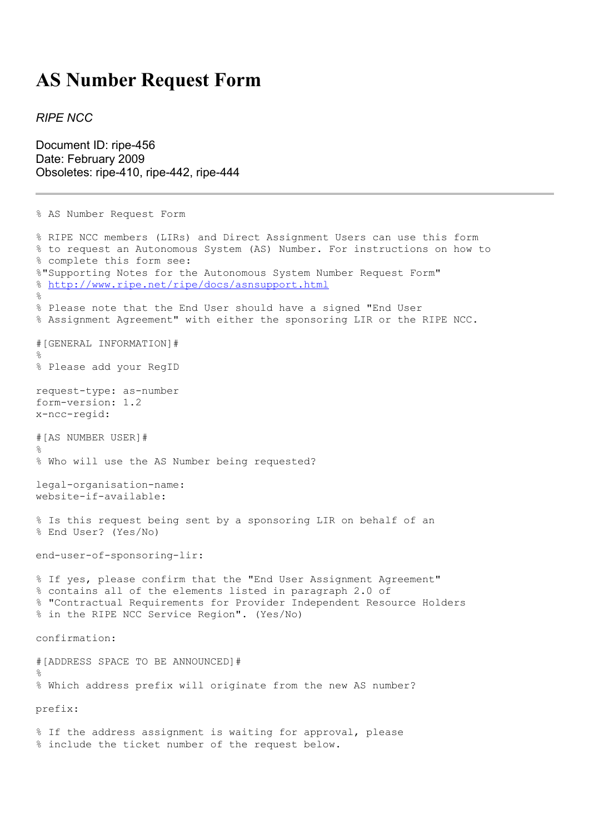## **AS Number Request Form**

## *RIPE NCC*

Document ID: ripe-456 Date: February 2009 Obsoletes: ripe-410, ripe-442, ripe-444

```
% AS Number Request Form
% RIPE NCC members (LIRs) and Direct Assignment Users can use this form
% to request an Autonomous System (AS) Number. For instructions on how to
% complete this form see:
%"Supporting Notes for the Autonomous System Number Request Form"
% http://www.ripe.net/ripe/docs/asnsupport.html
\overline{2}% Please note that the End User should have a signed "End User
% Assignment Agreement" with either the sponsoring LIR or the RIPE NCC.
#[GENERAL INFORMATION]#
%
% Please add your RegID
request-type: as-number
form-version: 1.2
x-ncc-regid:
#[AS NUMBER USER]#
\approx% Who will use the AS Number being requested?
legal-organisation-name:
website-if-available:
% Is this request being sent by a sponsoring LIR on behalf of an
% End User? (Yes/No)
end-user-of-sponsoring-lir:
% If yes, please confirm that the "End User Assignment Agreement"
% contains all of the elements listed in paragraph 2.0 of
% "Contractual Requirements for Provider Independent Resource Holders
% in the RIPE NCC Service Region". (Yes/No)
confirmation:
#[ADDRESS SPACE TO BE ANNOUNCED]#
\mathbf{Q}% Which address prefix will originate from the new AS number?
prefix:
% If the address assignment is waiting for approval, please
% include the ticket number of the request below.
```